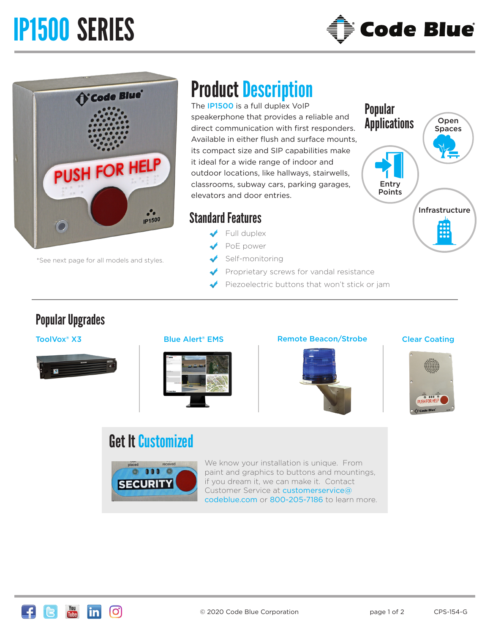# IP1500 SERIES



Popular

**Applications** 

Entry Points



\*See next page for all models and styles.

## Product Description

The **IP1500** is a full duplex VoIP speakerphone that provides a reliable and direct communication with first responders. Available in either flush and surface mounts, its compact size and SIP capabilities make it ideal for a wide range of indoor and outdoor locations, like hallways, stairwells, classrooms, subway cars, parking garages, elevators and door entries.

### Standard Features

- Full duplex
- PoE power
- Self-monitoring
- Proprietary screws for vandal resistance
- Piezoelectric buttons that won't stick or jam

### Popular Upgrades





#### ToolVox® X3 **Blue Alert® EMS** Remote Beacon/Strobe Clear Coating



Infrastructure

Open Spaces



### Get It Customized



We know your installation is unique. From paint and graphics to buttons and mountings, if you dream it, we can make it. Contact Customer Service at customerservice@ codeblue.com or 800-205-7186 to learn more.